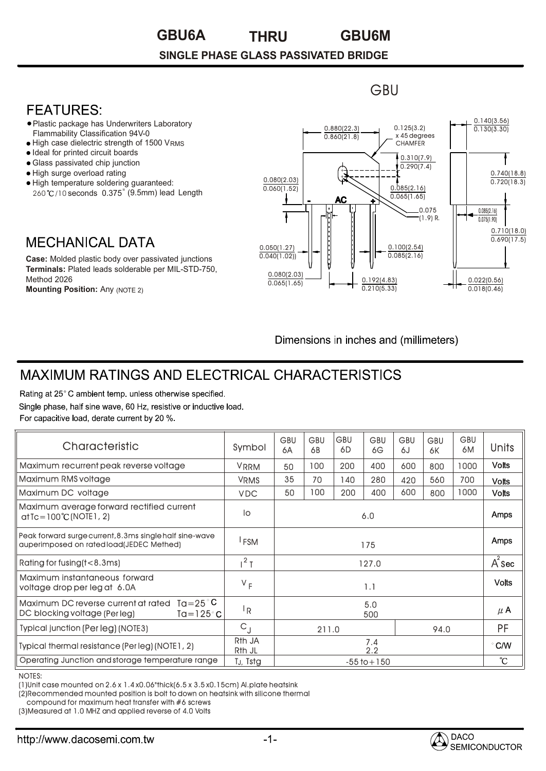#### **GBU6A GBU6M THRU**

#### **SINGLE PHASE GLASS PASSIVATED BRIDGE**

### **FEATURES:**

- Plastic package has Underwriters Laboratory Flammability Classification 94V-0
- High case dielectric strength of 1500 VRMS
- Ideal for printed circuit boards
- Glass passivated chip junction
- High surge overload rating
- High temperature soldering guaranteed: 260 °C/10 seconds 0.375" (9.5mm) lead Length

## **MECHANICAL DATA**

**Case:** Molded plastic body over passivated junctions **Terminals:** Plated leads solderable per MIL-STD-750, Method 2026

**Mounting Position:** Any (NOTE 2)



**GBU** 

Dimensions in inches and (millimeters)

DACO

SEMICONDUCTOR

# **MAXIMUM RATINGS AND ELECTRICAL CHARACTERISTICS**

Rating at 25°C ambient temp, unless otherwise specified. Single phase, half sine wave, 60 Hz, resistive or inductive load. For capacitive load, derate current by 20 %.

| Characteristic                                                                                                                                                                                                                                         | Symbol                       | <b>GBU</b><br>6A | <b>GBU</b><br>6B | <b>GBU</b><br>6D | <b>GBU</b><br>6G | <b>GBU</b><br>6J | GBU<br>6K | <b>GBU</b><br>6M | Units           |
|--------------------------------------------------------------------------------------------------------------------------------------------------------------------------------------------------------------------------------------------------------|------------------------------|------------------|------------------|------------------|------------------|------------------|-----------|------------------|-----------------|
| Maximum recurrent peak reverse voltage                                                                                                                                                                                                                 | <b>VRRM</b>                  | 50               | 100              | 200              | 400              | 600              | 800       | 1000             | <b>Volts</b>    |
| Maximum RMS voltage                                                                                                                                                                                                                                    | <b>VRMS</b>                  | 35               | 70               | 140              | 280              | 420              | 560       | 700              | <b>Volts</b>    |
| Maximum DC voltage                                                                                                                                                                                                                                     | <b>VDC</b>                   | 50               | 100              | 200              | 400              | 600              | 800       | 1000             | <b>Volts</b>    |
| Maximum average forward rectified current<br>$atTe = 100°C (NOTE1, 2)$                                                                                                                                                                                 | lo                           | 6.0              |                  |                  |                  |                  |           |                  | Amps            |
| Peak forward surge current, 8.3ms single half sine-wave<br>auperimposed on rated load(JEDEC Methed)                                                                                                                                                    | <sup>I</sup> FSM             | 175              |                  |                  |                  |                  |           |                  | Amps            |
| Rating for fusing (t<8.3ms)                                                                                                                                                                                                                            | $1^2$ T                      | 127.0            |                  |                  |                  |                  |           |                  | $A^2$ Sec       |
| Maximum instantaneous forward<br>voltage drop per leg at 6.0A                                                                                                                                                                                          | $V_F$                        | 1.1              |                  |                  |                  |                  |           |                  | <b>Volts</b>    |
| Maximum DC reverse current at rated $Ta = 25^{\circ}C$<br>DC blocking voltage (Per leg)<br>Ta=125 $^{\circ}$ C                                                                                                                                         | <sup> </sup> R               | 5.0<br>500       |                  |                  |                  |                  |           |                  | $\mu$ A         |
| Typical junction (Per leg) (NOTE3)                                                                                                                                                                                                                     | $C_{J}$                      |                  | 94.0<br>211.0    |                  |                  |                  |           | PF               |                 |
| Typical thermal resistance (Per leg) (NOTE1, 2)                                                                                                                                                                                                        | R <sub>th</sub> JA<br>Rth JL | 7.4<br>2.2       |                  |                  |                  |                  |           | $\degree$ C/W    |                 |
| Operating Junction and storage temperature range                                                                                                                                                                                                       | TJ, Tstg                     | $-55$ to $+150$  |                  |                  |                  |                  |           |                  | $\rm ^{\circ}C$ |
| <b>NOTES:</b><br>$(1)$ Unit case mounted on 2.6 x 1.4 x0.06"thick $(6.5 x 3.5 x 0.15 cm)$ Al.plate heatsink<br>(2) Recommended mounted position is bolt to down on heatsink with silicone thermal<br>compound for maximum heat transfer with #6 screws |                              |                  |                  |                  |                  |                  |           |                  |                 |

NOTES:

compound for maximum heat transfer with #6 screws

(3)Measured at 1.0 MHZ and applied reverse of 4.0 Volts